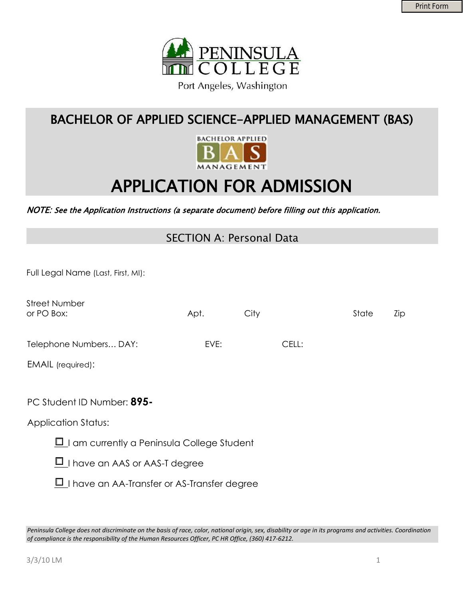

# BACHELOR OF APPLIED SCIENCE-APPLIED MANAGEMENT (BAS)



# APPLICATION FOR ADMISSION

#### NOTE: See the Application Instructions (a separate document) before filling out this application.

### SECTION A: Personal Data

Full Legal Name (Last, First, MI):

| <b>Street Number</b><br>or PO Box:                 | Apt. | City |       | State | Zip |
|----------------------------------------------------|------|------|-------|-------|-----|
| Telephone Numbers DAY:                             | EVE: |      | CELL: |       |     |
| EMAIL (required):                                  |      |      |       |       |     |
| PC Student ID Number: 895-                         |      |      |       |       |     |
| <b>Application Status:</b>                         |      |      |       |       |     |
| $\Box$ I am currently a Peninsula College Student  |      |      |       |       |     |
| $\Box$ I have an AAS or AAS-T degree               |      |      |       |       |     |
| $\Box$ I have an AA-Transfer or AS-Transfer degree |      |      |       |       |     |

*Peninsula College does not discriminate on the basis of race, color, national origin, sex, disability or age in its programs and activities. Coordination of compliance is the responsibility of the Human Resources Officer, PC HR Office, (360) 417-6212.*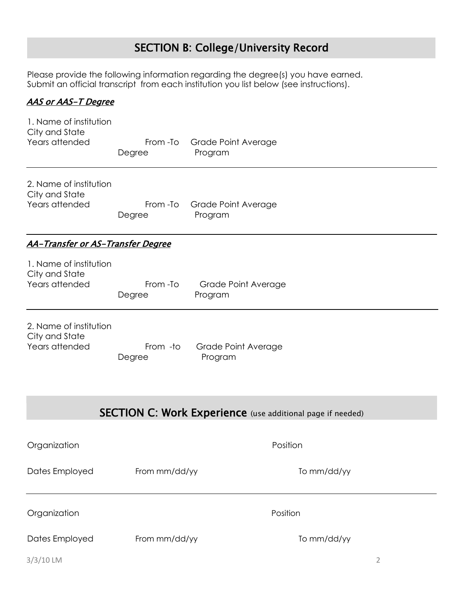# SECTION B: College/University Record

Please provide the following information regarding the degree(s) you have earned. Submit an official transcript from each institution you list below (see instructions).

#### AAS or AAS-T Degree

| 1. Name of institution<br>City and State<br>Years attended | From -To<br>Degree | <b>Grade Point Average</b><br>Program                             |  |  |  |  |  |
|------------------------------------------------------------|--------------------|-------------------------------------------------------------------|--|--|--|--|--|
| 2. Name of institution<br>City and State<br>Years attended | From -To<br>Degree | Grade Point Average<br>Program                                    |  |  |  |  |  |
| <u> AA-Transfer or AS-Transfer Degree</u>                  |                    |                                                                   |  |  |  |  |  |
| 1. Name of institution<br>City and State<br>Years attended | From -To<br>Degree | Grade Point Average<br>Program                                    |  |  |  |  |  |
| 2. Name of institution<br>City and State<br>Years attended | From -to<br>Degree | <b>Grade Point Average</b><br>Program                             |  |  |  |  |  |
|                                                            |                    | <b>SECTION C: Work Experience</b> (use additional page if needed) |  |  |  |  |  |
| Organization                                               |                    | Position                                                          |  |  |  |  |  |
| Dates Employed                                             | From mm/dd/yy      | To mm/dd/yy                                                       |  |  |  |  |  |
| Organization                                               |                    | Position                                                          |  |  |  |  |  |
| Dates Employed                                             | From mm/dd/yy      | To mm/dd/yy                                                       |  |  |  |  |  |
| $3/3/10$ LM                                                |                    | 2                                                                 |  |  |  |  |  |